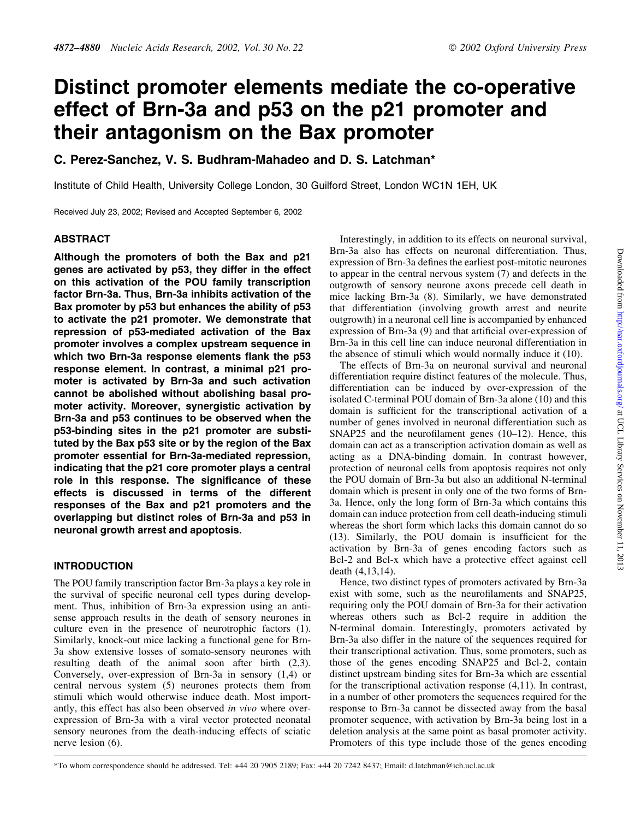# Distinct promoter elements mediate the co-operative effect of Brn-3a and p53 on the p21 promoter and their antagonism on the Bax promoter

C. Perez-Sanchez, V. S. Budhram-Mahadeo and D. S. Latchman\*

Institute of Child Health, University College London, 30 Guilford Street, London WC1N 1EH, UK

Received July 23, 2002; Revised and Accepted September 6, 2002

## ABSTRACT

Although the promoters of both the Bax and p21 genes are activated by p53, they differ in the effect on this activation of the POU family transcription factor Brn-3a. Thus, Brn-3a inhibits activation of the Bax promoter by p53 but enhances the ability of p53 to activate the p21 promoter. We demonstrate that repression of p53-mediated activation of the Bax promoter involves a complex upstream sequence in which two Brn-3a response elements flank the p53 response element. In contrast, a minimal p21 promoter is activated by Brn-3a and such activation cannot be abolished without abolishing basal promoter activity. Moreover, synergistic activation by Brn-3a and p53 continues to be observed when the p53-binding sites in the p21 promoter are substituted by the Bax p53 site or by the region of the Bax promoter essential for Brn-3a-mediated repression, indicating that the p21 core promoter plays a central role in this response. The significance of these effects is discussed in terms of the different responses of the Bax and p21 promoters and the overlapping but distinct roles of Brn-3a and p53 in neuronal growth arrest and apoptosis.

## INTRODUCTION

The POU family transcription factor Brn-3a plays a key role in the survival of specific neuronal cell types during development. Thus, inhibition of Brn-3a expression using an antisense approach results in the death of sensory neurones in culture even in the presence of neurotrophic factors (1). Similarly, knock-out mice lacking a functional gene for Brn-3a show extensive losses of somato-sensory neurones with resulting death of the animal soon after birth (2,3). Conversely, over-expression of Brn-3a in sensory (1,4) or central nervous system (5) neurones protects them from stimuli which would otherwise induce death. Most importantly, this effect has also been observed in vivo where overexpression of Brn-3a with a viral vector protected neonatal sensory neurones from the death-inducing effects of sciatic nerve lesion (6).

Interestingly, in addition to its effects on neuronal survival, Brn-3a also has effects on neuronal differentiation. Thus, expression of Brn-3a defines the earliest post-mitotic neurones to appear in the central nervous system (7) and defects in the outgrowth of sensory neurone axons precede cell death in mice lacking Brn-3a (8). Similarly, we have demonstrated that differentiation (involving growth arrest and neurite outgrowth) in a neuronal cell line is accompanied by enhanced expression of Brn-3a  $(9)$  and that artificial over-expression of Brn-3a in this cell line can induce neuronal differentiation in the absence of stimuli which would normally induce it (10).

The effects of Brn-3a on neuronal survival and neuronal differentiation require distinct features of the molecule. Thus, differentiation can be induced by over-expression of the isolated C-terminal POU domain of Brn-3a alone (10) and this domain is sufficient for the transcriptional activation of a number of genes involved in neuronal differentiation such as SNAP25 and the neurofilament genes  $(10-12)$ . Hence, this domain can act as a transcription activation domain as well as acting as a DNA-binding domain. In contrast however, protection of neuronal cells from apoptosis requires not only the POU domain of Brn-3a but also an additional N-terminal domain which is present in only one of the two forms of Brn-3a. Hence, only the long form of Brn-3a which contains this domain can induce protection from cell death-inducing stimuli whereas the short form which lacks this domain cannot do so  $(13)$ . Similarly, the POU domain is insufficient for the activation by Brn-3a of genes encoding factors such as Bcl-2 and Bcl-x which have a protective effect against cell death (4,13,14).

Hence, two distinct types of promoters activated by Brn-3a exist with some, such as the neurofilaments and SNAP25, requiring only the POU domain of Brn-3a for their activation whereas others such as Bcl-2 require in addition the N-terminal domain. Interestingly, promoters activated by Brn-3a also differ in the nature of the sequences required for their transcriptional activation. Thus, some promoters, such as those of the genes encoding SNAP25 and Bcl-2, contain distinct upstream binding sites for Brn-3a which are essential for the transcriptional activation response (4,11). In contrast, in a number of other promoters the sequences required for the response to Brn-3a cannot be dissected away from the basal promoter sequence, with activation by Brn-3a being lost in a deletion analysis at the same point as basal promoter activity. Promoters of this type include those of the genes encoding

Downloaded from http://nar.oxfordjournals.org/ at UCL Library Services on November 11, 2011 Downloaded from <http://nar.oxfordjournals.org/> at UCL Library Services on November 11, 2013

\*To whom correspondence should be addressed. Tel: +44 20 7905 2189; Fax: +44 20 7242 8437; Email: d.latchman@ich.ucl.ac.uk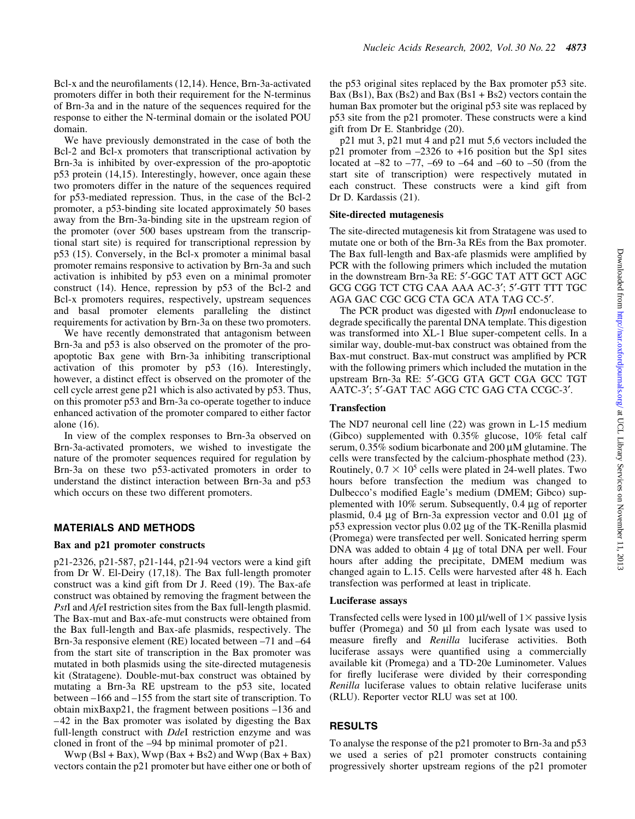response to either the N-terminal domain or the isolated POU domain. We have previously demonstrated in the case of both the Bcl-2 and Bcl-x promoters that transcriptional activation by Brn-3a is inhibited by over-expression of the pro-apoptotic p53 protein (14,15). Interestingly, however, once again these two promoters differ in the nature of the sequences required for p53-mediated repression. Thus, in the case of the Bcl-2 promoter, a p53-binding site located approximately 50 bases away from the Brn-3a-binding site in the upstream region of the promoter (over 500 bases upstream from the transcriptional start site) is required for transcriptional repression by p53 (15). Conversely, in the Bcl-x promoter a minimal basal promoter remains responsive to activation by Brn-3a and such activation is inhibited by p53 even on a minimal promoter construct (14). Hence, repression by p53 of the Bcl-2 and Bcl-x promoters requires, respectively, upstream sequences and basal promoter elements paralleling the distinct

of Brn-3a and in the nature of the sequences required for the

requirements for activation by Brn-3a on these two promoters. We have recently demonstrated that antagonism between Brn-3a and p53 is also observed on the promoter of the proapoptotic Bax gene with Brn-3a inhibiting transcriptional activation of this promoter by p53 (16). Interestingly, however, a distinct effect is observed on the promoter of the cell cycle arrest gene p21 which is also activated by p53. Thus, on this promoter p53 and Brn-3a co-operate together to induce enhanced activation of the promoter compared to either factor alone (16).

In view of the complex responses to Brn-3a observed on Brn-3a-activated promoters, we wished to investigate the nature of the promoter sequences required for regulation by Brn-3a on these two p53-activated promoters in order to understand the distinct interaction between Brn-3a and p53 which occurs on these two different promoters.

## MATERIALS AND METHODS

#### Bax and p21 promoter constructs

p21-2326, p21-587, p21-144, p21-94 vectors were a kind gift from Dr W. El-Deiry (17,18). The Bax full-length promoter construct was a kind gift from Dr J. Reed (19). The Bax-afe construct was obtained by removing the fragment between the PstI and AfeI restriction sites from the Bax full-length plasmid. The Bax-mut and Bax-afe-mut constructs were obtained from the Bax full-length and Bax-afe plasmids, respectively. The Brn-3a responsive element (RE) located between  $-71$  and  $-64$ from the start site of transcription in the Bax promoter was mutated in both plasmids using the site-directed mutagenesis kit (Stratagene). Double-mut-bax construct was obtained by mutating a Brn-3a RE upstream to the p53 site, located between  $-166$  and  $-155$  from the start site of transcription. To obtain mix $Baxp21$ , the fragment between positions  $-136$  and  $-42$  in the Bax promoter was isolated by digesting the Bax full-length construct with *DdeI* restriction enzyme and was cloned in front of the  $-94$  bp minimal promoter of p21.

 $Wwp (Bsl + Bax)$ ,  $Wwp (Bax + Bs2)$  and  $Wwp (Bax + Bax)$ vectors contain the p21 promoter but have either one or both of the p53 original sites replaced by the Bax promoter p53 site. Bax (Bs1), Bax (Bs2) and Bax (Bs1 + Bs2) vectors contain the human Bax promoter but the original p53 site was replaced by p53 site from the p21 promoter. These constructs were a kind gift from Dr E. Stanbridge (20).

p21 mut 3, p21 mut 4 and p21 mut 5,6 vectors included the  $p21$  promoter from  $-2326$  to  $+16$  position but the Sp1 sites located at  $-82$  to  $-77$ ,  $-69$  to  $-64$  and  $-60$  to  $-50$  (from the start site of transcription) were respectively mutated in each construct. These constructs were a kind gift from Dr D. Kardassis (21).

#### Site-directed mutagenesis

The site-directed mutagenesis kit from Stratagene was used to mutate one or both of the Brn-3a REs from the Bax promoter. The Bax full-length and Bax-afe plasmids were amplified by PCR with the following primers which included the mutation in the downstream Brn-3a RE: 5'-GGC TAT ATT GCT AGC GCG CGG TCT CTG CAA AAA AC-3'; 5'-GTT TTT TGC AGA GAC CGC GCG CTA GCA ATA TAG CC-5'.

The PCR product was digested with *DpnI* endonuclease to degrade specifically the parental DNA template. This digestion was transformed into XL-1 Blue super-competent cells. In a similar way, double-mut-bax construct was obtained from the Bax-mut construct. Bax-mut construct was amplified by PCR with the following primers which included the mutation in the upstream Brn-3a RE: 5'-GCG GTA GCT CGA GCC TGT AATC-3'; 5'-GAT TAC AGG CTC GAG CTA CCGC-3'.

## Transfection

The ND7 neuronal cell line (22) was grown in L-15 medium (Gibco) supplemented with 0.35% glucose, 10% fetal calf serum,  $0.35\%$  sodium bicarbonate and  $200 \mu M$  glutamine. The cells were transfected by the calcium-phosphate method (23). Routinely,  $0.7 \times 10^5$  cells were plated in 24-well plates. Two hours before transfection the medium was changed to Dulbecco's modified Eagle's medium (DMEM; Gibco) supplemented with  $10\%$  serum. Subsequently, 0.4  $\mu$ g of reporter plasmid,  $0.4 \mu$ g of Brn-3a expression vector and  $0.01 \mu$ g of  $p53$  expression vector plus 0.02  $\mu$ g of the TK-Renilla plasmid (Promega) were transfected per well. Sonicated herring sperm  $DNA$  was added to obtain 4  $\mu$ g of total DNA per well. Four hours after adding the precipitate, DMEM medium was changed again to L.15. Cells were harvested after 48 h. Each transfection was performed at least in triplicate.

#### Luciferase assays

Transfected cells were lysed in 100  $\mu$ l/well of 1 $\times$  passive lysis buffer (Promega) and  $50 \mu l$  from each lysate was used to measure firefly and Renilla luciferase activities. Both luciferase assays were quantified using a commercially available kit (Promega) and a TD-20e Luminometer. Values for firefly luciferase were divided by their corresponding Renilla luciferase values to obtain relative luciferase units (RLU). Reporter vector RLU was set at 100.

## RESULTS

To analyse the response of the p21 promoter to Brn-3a and p53 we used a series of p21 promoter constructs containing progressively shorter upstream regions of the p21 promoter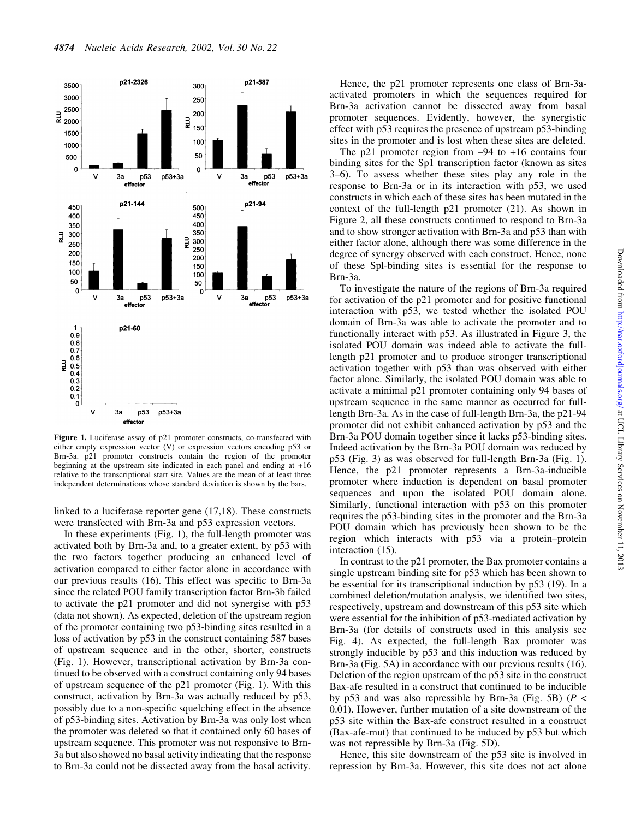

Figure 1. Luciferase assay of p21 promoter constructs, co-transfected with either empty expression vector (V) or expression vectors encoding p53 or Brn-3a. p21 promoter constructs contain the region of the promoter beginning at the upstream site indicated in each panel and ending at +16 relative to the transcriptional start site. Values are the mean of at least three independent determinations whose standard deviation is shown by the bars.

linked to a luciferase reporter gene (17,18). These constructs were transfected with Brn-3a and p53 expression vectors.

In these experiments (Fig. 1), the full-length promoter was activated both by Brn-3a and, to a greater extent, by p53 with the two factors together producing an enhanced level of activation compared to either factor alone in accordance with our previous results (16). This effect was specific to Brn-3a since the related POU family transcription factor Brn-3b failed to activate the p21 promoter and did not synergise with p53 (data not shown). As expected, deletion of the upstream region of the promoter containing two p53-binding sites resulted in a loss of activation by p53 in the construct containing 587 bases of upstream sequence and in the other, shorter, constructs (Fig. 1). However, transcriptional activation by Brn-3a continued to be observed with a construct containing only 94 bases of upstream sequence of the p21 promoter (Fig. 1). With this construct, activation by Brn-3a was actually reduced by p53, possibly due to a non-specific squelching effect in the absence of p53-binding sites. Activation by Brn-3a was only lost when the promoter was deleted so that it contained only 60 bases of upstream sequence. This promoter was not responsive to Brn-3a but also showed no basal activity indicating that the response to Brn-3a could not be dissected away from the basal activity.

Hence, the p21 promoter represents one class of Brn-3aactivated promoters in which the sequences required for Brn-3a activation cannot be dissected away from basal promoter sequences. Evidently, however, the synergistic effect with p53 requires the presence of upstream p53-binding sites in the promoter and is lost when these sites are deleted.

The p21 promoter region from  $-94$  to  $+16$  contains four binding sites for the Sp1 transcription factor (known as sites 3±6). To assess whether these sites play any role in the response to Brn-3a or in its interaction with p53, we used constructs in which each of these sites has been mutated in the context of the full-length p21 promoter (21). As shown in Figure 2, all these constructs continued to respond to Brn-3a and to show stronger activation with Brn-3a and p53 than with either factor alone, although there was some difference in the degree of synergy observed with each construct. Hence, none of these Spl-binding sites is essential for the response to Brn-3a.

To investigate the nature of the regions of Brn-3a required for activation of the p21 promoter and for positive functional interaction with p53, we tested whether the isolated POU domain of Brn-3a was able to activate the promoter and to functionally interact with p53. As illustrated in Figure 3, the isolated POU domain was indeed able to activate the fulllength p21 promoter and to produce stronger transcriptional activation together with p53 than was observed with either factor alone. Similarly, the isolated POU domain was able to activate a minimal p21 promoter containing only 94 bases of upstream sequence in the same manner as occurred for fulllength Brn-3a. As in the case of full-length Brn-3a, the p21-94 promoter did not exhibit enhanced activation by p53 and the Brn-3a POU domain together since it lacks p53-binding sites. Indeed activation by the Brn-3a POU domain was reduced by p53 (Fig. 3) as was observed for full-length Brn-3a (Fig. 1). Hence, the p21 promoter represents a Brn-3a-inducible promoter where induction is dependent on basal promoter sequences and upon the isolated POU domain alone. Similarly, functional interaction with p53 on this promoter requires the p53-binding sites in the promoter and the Brn-3a POU domain which has previously been shown to be the region which interacts with p53 via a protein-protein interaction (15).

In contrast to the p21 promoter, the Bax promoter contains a single upstream binding site for p53 which has been shown to be essential for its transcriptional induction by p53 (19). In a combined deletion/mutation analysis, we identified two sites, respectively, upstream and downstream of this p53 site which were essential for the inhibition of p53-mediated activation by Brn-3a (for details of constructs used in this analysis see Fig. 4). As expected, the full-length Bax promoter was strongly inducible by p53 and this induction was reduced by Brn-3a (Fig. 5A) in accordance with our previous results (16). Deletion of the region upstream of the p53 site in the construct Bax-afe resulted in a construct that continued to be inducible by p53 and was also repressible by Brn-3a (Fig. 5B) ( $P \le$ 0.01). However, further mutation of a site downstream of the p53 site within the Bax-afe construct resulted in a construct (Bax-afe-mut) that continued to be induced by p53 but which was not repressible by Brn-3a (Fig. 5D).

Hence, this site downstream of the p53 site is involved in repression by Brn-3a. However, this site does not act alone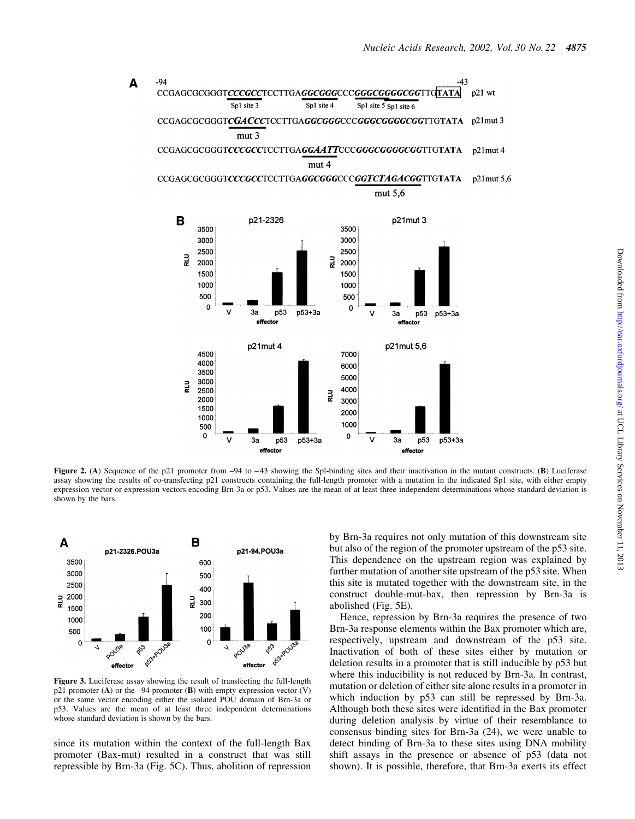

Figure 2. (A) Sequence of the p21 promoter from  $-94$  to  $-43$  showing the Spl-binding sites and their inactivation in the mutant constructs. (B) Luciferase assay showing the results of co-transfecting p21 constructs containing the full-length promoter with a mutation in the indicated Sp1 site, with either empty expression vector or expression vectors encoding Brn-3a or p53. Values are the mean of at least three independent determinations whose standard deviation is shown by the bars.



Figure 3. Luciferase assay showing the result of transfecting the full-length p21 promoter (A) or the  $-94$  promoter (B) with empty expression vector (V) or the same vector encoding either the isolated POU domain of Brn-3a or p53. Values are the mean of at least three independent determinations whose standard deviation is shown by the bars.

since its mutation within the context of the full-length Bax promoter (Bax-mut) resulted in a construct that was still repressible by Brn-3a (Fig. 5C). Thus, abolition of repression by Brn-3a requires not only mutation of this downstream site but also of the region of the promoter upstream of the p53 site. This dependence on the upstream region was explained by further mutation of another site upstream of the p53 site. When this site is mutated together with the downstream site, in the construct double-mut-bax, then repression by Brn-3a is abolished (Fig. 5E).

Hence, repression by Brn-3a requires the presence of two Brn-3a response elements within the Bax promoter which are, respectively, upstream and downstream of the p53 site. Inactivation of both of these sites either by mutation or deletion results in a promoter that is still inducible by p53 but where this inducibility is not reduced by Brn-3a. In contrast, mutation or deletion of either site alone results in a promoter in which induction by p53 can still be repressed by Brn-3a. Although both these sites were identified in the Bax promoter during deletion analysis by virtue of their resemblance to consensus binding sites for Brn-3a (24), we were unable to detect binding of Brn-3a to these sites using DNA mobility shift assays in the presence or absence of p53 (data not shown). It is possible, therefore, that Brn-3a exerts its effect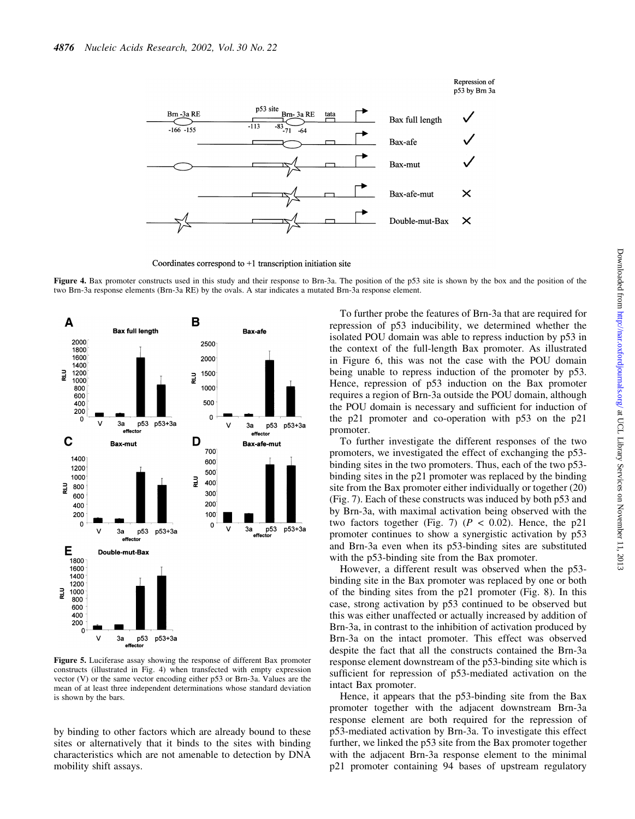

Coordinates correspond to  $+1$  transcription initiation site

Figure 4. Bax promoter constructs used in this study and their response to Brn-3a. The position of the p53 site is shown by the box and the position of the two Brn-3a response elements (Brn-3a RE) by the ovals. A star indicates a mutated Brn-3a response element.



Figure 5. Luciferase assay showing the response of different Bax promoter constructs (illustrated in Fig. 4) when transfected with empty expression vector (V) or the same vector encoding either p53 or Brn-3a. Values are the mean of at least three independent determinations whose standard deviation is shown by the bars.

by binding to other factors which are already bound to these sites or alternatively that it binds to the sites with binding characteristics which are not amenable to detection by DNA mobility shift assays.

To further probe the features of Brn-3a that are required for repression of p53 inducibility, we determined whether the isolated POU domain was able to repress induction by p53 in the context of the full-length Bax promoter. As illustrated in Figure 6, this was not the case with the POU domain being unable to repress induction of the promoter by p53. Hence, repression of p53 induction on the Bax promoter requires a region of Brn-3a outside the POU domain, although the POU domain is necessary and sufficient for induction of the p21 promoter and co-operation with p53 on the p21 promoter.

Repression of

To further investigate the different responses of the two promoters, we investigated the effect of exchanging the p53 binding sites in the two promoters. Thus, each of the two p53 binding sites in the p21 promoter was replaced by the binding site from the Bax promoter either individually or together (20) (Fig. 7). Each of these constructs was induced by both p53 and by Brn-3a, with maximal activation being observed with the two factors together (Fig. 7) ( $P < 0.02$ ). Hence, the p21 promoter continues to show a synergistic activation by p53 and Brn-3a even when its p53-binding sites are substituted with the p53-binding site from the Bax promoter.

However, a different result was observed when the p53 binding site in the Bax promoter was replaced by one or both of the binding sites from the p21 promoter (Fig. 8). In this case, strong activation by p53 continued to be observed but this was either unaffected or actually increased by addition of Brn-3a, in contrast to the inhibition of activation produced by Brn-3a on the intact promoter. This effect was observed despite the fact that all the constructs contained the Brn-3a response element downstream of the p53-binding site which is sufficient for repression of p53-mediated activation on the intact Bax promoter.

Hence, it appears that the p53-binding site from the Bax promoter together with the adjacent downstream Brn-3a response element are both required for the repression of p53-mediated activation by Brn-3a. To investigate this effect further, we linked the p53 site from the Bax promoter together with the adjacent Brn-3a response element to the minimal p21 promoter containing 94 bases of upstream regulatory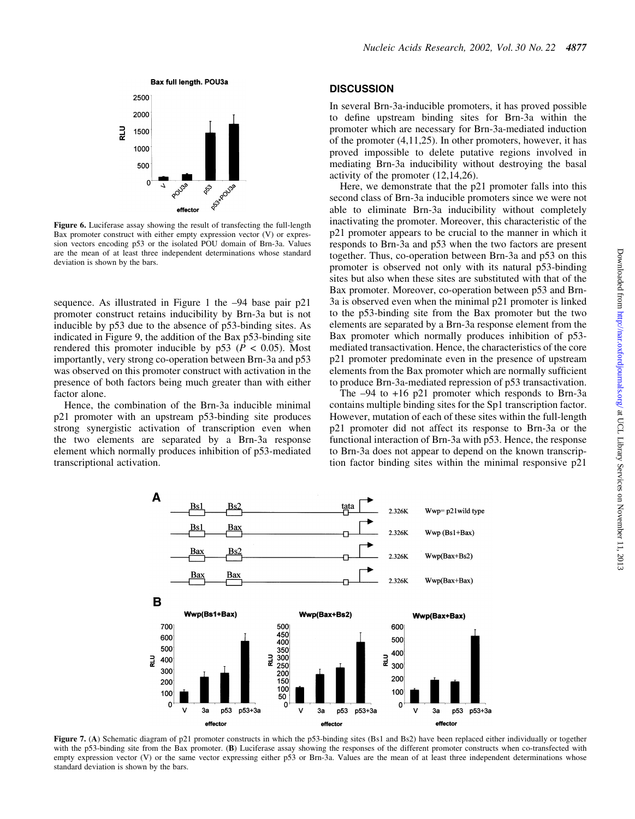

Figure 6. Luciferase assay showing the result of transfecting the full-length Bax promoter construct with either empty expression vector (V) or expression vectors encoding p53 or the isolated POU domain of Brn-3a. Values are the mean of at least three independent determinations whose standard deviation is shown by the bars.

sequence. As illustrated in Figure 1 the  $-94$  base pair  $p21$ promoter construct retains inducibility by Brn-3a but is not inducible by p53 due to the absence of p53-binding sites. As indicated in Figure 9, the addition of the Bax p53-binding site rendered this promoter inducible by  $p53$  ( $P < 0.05$ ). Most importantly, very strong co-operation between Brn-3a and p53 was observed on this promoter construct with activation in the presence of both factors being much greater than with either factor alone.

Hence, the combination of the Brn-3a inducible minimal p21 promoter with an upstream p53-binding site produces strong synergistic activation of transcription even when the two elements are separated by a Brn-3a response element which normally produces inhibition of p53-mediated transcriptional activation.

#### **DISCUSSION**

In several Brn-3a-inducible promoters, it has proved possible to define upstream binding sites for Brn-3a within the promoter which are necessary for Brn-3a-mediated induction of the promoter (4,11,25). In other promoters, however, it has proved impossible to delete putative regions involved in mediating Brn-3a inducibility without destroying the basal activity of the promoter (12,14,26).

Here, we demonstrate that the p21 promoter falls into this second class of Brn-3a inducible promoters since we were not able to eliminate Brn-3a inducibility without completely inactivating the promoter. Moreover, this characteristic of the p21 promoter appears to be crucial to the manner in which it responds to Brn-3a and p53 when the two factors are present together. Thus, co-operation between Brn-3a and p53 on this promoter is observed not only with its natural p53-binding sites but also when these sites are substituted with that of the Bax promoter. Moreover, co-operation between p53 and Brn-3a is observed even when the minimal p21 promoter is linked to the p53-binding site from the Bax promoter but the two elements are separated by a Brn-3a response element from the Bax promoter which normally produces inhibition of p53 mediated transactivation. Hence, the characteristics of the core p21 promoter predominate even in the presence of upstream elements from the Bax promoter which are normally sufficient to produce Brn-3a-mediated repression of p53 transactivation.

The  $-94$  to  $+16$  p21 promoter which responds to Brn-3a contains multiple binding sites for the Sp1 transcription factor. However, mutation of each of these sites within the full-length p21 promoter did not affect its response to Brn-3a or the functional interaction of Brn-3a with p53. Hence, the response to Brn-3a does not appear to depend on the known transcription factor binding sites within the minimal responsive p21



Figure 7. (A) Schematic diagram of p21 promoter constructs in which the p53-binding sites (Bs1 and Bs2) have been replaced either individually or together with the p53-binding site from the Bax promoter. (B) Luciferase assay showing the responses of the different promoter constructs when co-transfected with empty expression vector (V) or the same vector expressing either p53 or Brn-3a. Values are the mean of at least three independent determinations whose standard deviation is shown by the bars.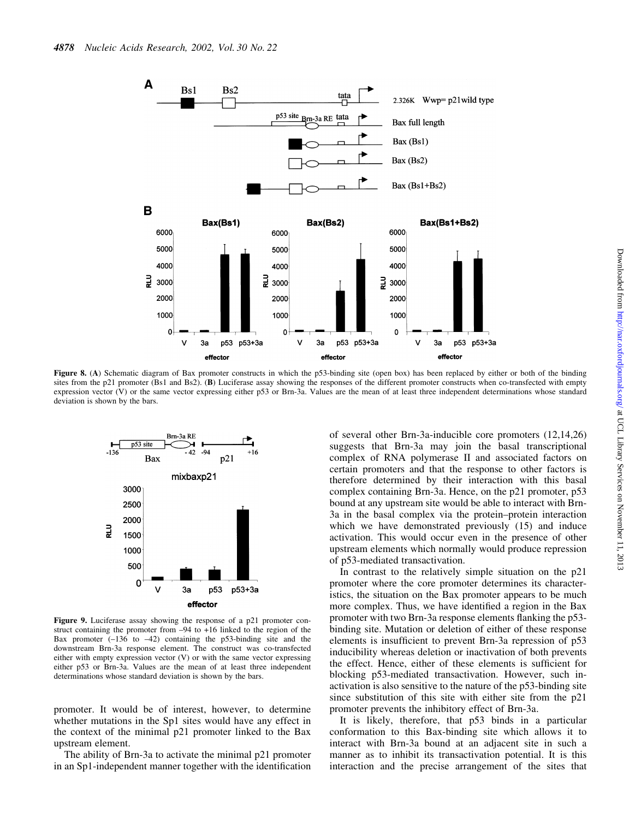

Figure 8. (A) Schematic diagram of Bax promoter constructs in which the p53-binding site (open box) has been replaced by either or both of the binding sites from the p21 promoter (Bs1 and Bs2). (B) Luciferase assay showing the responses of the different promoter constructs when co-transfected with empty expression vector (V) or the same vector expressing either p53 or Brn-3a. Values are the mean of at least three independent determinations whose standard deviation is shown by the bars.



Figure 9. Luciferase assay showing the response of a p21 promoter construct containing the promoter from  $-94$  to  $+16$  linked to the region of the Bax promoter  $(-136 \text{ to } -42)$  containing the p53-binding site and the downstream Brn-3a response element. The construct was co-transfected either with empty expression vector  $(V)$  or with the same vector expressing either p53 or Brn-3a. Values are the mean of at least three independent determinations whose standard deviation is shown by the bars.

promoter. It would be of interest, however, to determine whether mutations in the Sp1 sites would have any effect in the context of the minimal p21 promoter linked to the Bax upstream element.

The ability of Brn-3a to activate the minimal p21 promoter in an Sp1-independent manner together with the identification of several other Brn-3a-inducible core promoters (12,14,26) suggests that Brn-3a may join the basal transcriptional complex of RNA polymerase II and associated factors on certain promoters and that the response to other factors is therefore determined by their interaction with this basal complex containing Brn-3a. Hence, on the p21 promoter, p53 bound at any upstream site would be able to interact with Brn-3a in the basal complex via the protein-protein interaction which we have demonstrated previously (15) and induce activation. This would occur even in the presence of other upstream elements which normally would produce repression of p53-mediated transactivation.

In contrast to the relatively simple situation on the p21 promoter where the core promoter determines its characteristics, the situation on the Bax promoter appears to be much more complex. Thus, we have identified a region in the Bax promoter with two Brn-3a response elements flanking the p53binding site. Mutation or deletion of either of these response elements is insufficient to prevent Brn-3a repression of p53 inducibility whereas deletion or inactivation of both prevents the effect. Hence, either of these elements is sufficient for blocking p53-mediated transactivation. However, such inactivation is also sensitive to the nature of the p53-binding site since substitution of this site with either site from the p21 promoter prevents the inhibitory effect of Brn-3a.

It is likely, therefore, that p53 binds in a particular conformation to this Bax-binding site which allows it to interact with Brn-3a bound at an adjacent site in such a manner as to inhibit its transactivation potential. It is this interaction and the precise arrangement of the sites that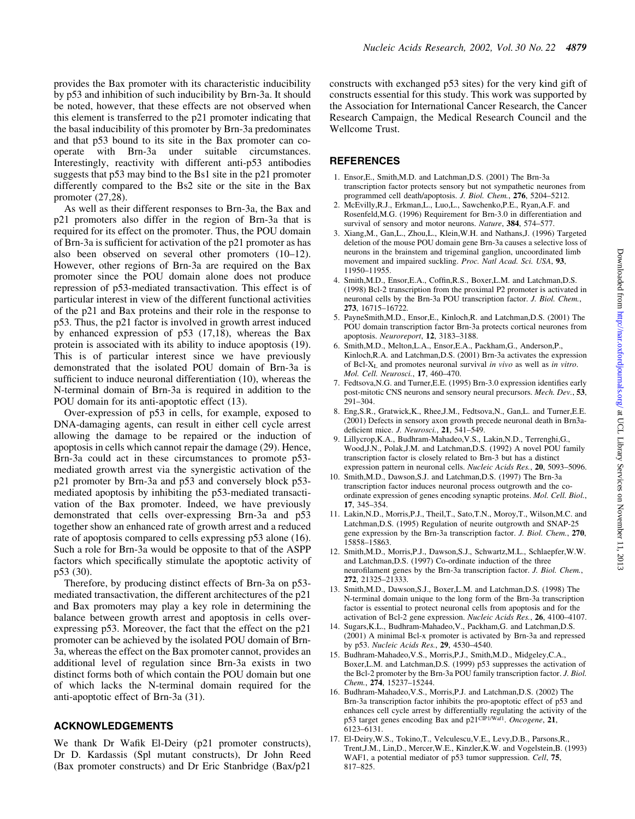provides the Bax promoter with its characteristic inducibility by p53 and inhibition of such inducibility by Brn-3a. It should be noted, however, that these effects are not observed when this element is transferred to the p21 promoter indicating that the basal inducibility of this promoter by Brn-3a predominates and that p53 bound to its site in the Bax promoter can cooperate with Brn-3a under suitable circumstances. Interestingly, reactivity with different anti-p53 antibodies suggests that p53 may bind to the Bs1 site in the p21 promoter differently compared to the Bs2 site or the site in the Bax promoter (27,28).

As well as their different responses to Brn-3a, the Bax and p21 promoters also differ in the region of Brn-3a that is required for its effect on the promoter. Thus, the POU domain of Brn-3a is sufficient for activation of the p21 promoter as has also been observed on several other promoters (10-12). However, other regions of Brn-3a are required on the Bax promoter since the POU domain alone does not produce repression of p53-mediated transactivation. This effect is of particular interest in view of the different functional activities of the p21 and Bax proteins and their role in the response to p53. Thus, the p21 factor is involved in growth arrest induced by enhanced expression of p53 (17,18), whereas the Bax protein is associated with its ability to induce apoptosis (19). This is of particular interest since we have previously demonstrated that the isolated POU domain of Brn-3a is sufficient to induce neuronal differentiation (10), whereas the N-terminal domain of Brn-3a is required in addition to the POU domain for its anti-apoptotic effect (13).

Over-expression of p53 in cells, for example, exposed to DNA-damaging agents, can result in either cell cycle arrest allowing the damage to be repaired or the induction of apoptosis in cells which cannot repair the damage (29). Hence, Brn-3a could act in these circumstances to promote p53 mediated growth arrest via the synergistic activation of the p21 promoter by Brn-3a and p53 and conversely block p53 mediated apoptosis by inhibiting the p53-mediated transactivation of the Bax promoter. Indeed, we have previously demonstrated that cells over-expressing Brn-3a and p53 together show an enhanced rate of growth arrest and a reduced rate of apoptosis compared to cells expressing p53 alone (16). Such a role for Brn-3a would be opposite to that of the ASPP factors which specifically stimulate the apoptotic activity of p53 (30).

Therefore, by producing distinct effects of Brn-3a on p53 mediated transactivation, the different architectures of the p21 and Bax promoters may play a key role in determining the balance between growth arrest and apoptosis in cells overexpressing p53. Moreover, the fact that the effect on the p21 promoter can be achieved by the isolated POU domain of Brn-3a, whereas the effect on the Bax promoter cannot, provides an additional level of regulation since Brn-3a exists in two distinct forms both of which contain the POU domain but one of which lacks the N-terminal domain required for the anti-apoptotic effect of Brn-3a (31).

#### ACKNOWLEDGEMENTS

We thank Dr Wafik El-Deiry (p21 promoter constructs), Dr D. Kardassis (Spl mutant constructs), Dr John Reed (Bax promoter constructs) and Dr Eric Stanbridge (Bax/p21 constructs with exchanged p53 sites) for the very kind gift of constructs essential for this study. This work was supported by the Association for International Cancer Research, the Cancer Research Campaign, the Medical Research Council and the Wellcome Trust.

## **REFERENCES**

- 1. Ensor,E., Smith,M.D. and Latchman,D.S. (2001) The Brn-3a transcription factor protects sensory but not sympathetic neurones from programmed cell death/apoptosis. J. Biol. Chem., 276, 5204-5212.
- 2. McEvilly,R.J., Erkman,L., Luo,L., Sawchenko,P.E., Ryan,A.F. and Rosenfeld,M.G. (1996) Requirement for Brn-3.0 in differentiation and survival of sensory and motor neurons. Nature, 384, 574-577.
- 3. Xiang,M., Gan,L., Zhou,L., Klein,W.H. and Nathans,J. (1996) Targeted deletion of the mouse POU domain gene Brn-3a causes a selective loss of neurons in the brainstem and trigeminal ganglion, uncoordinated limb movement and impaired suckling. Proc. Natl Acad. Sci. USA, 93, 11950±11955.
- 4. Smith, M.D., Ensor, E.A., Coffin, R.S., Boxer, L.M. and Latchman, D.S. (1998) Bcl-2 transcription from the proximal P2 promoter is activated in neuronal cells by the Brn-3a POU transcription factor. J. Biol. Chem., 273, 16715±16722.
- 5. PayneSmith,M.D., Ensor,E., Kinloch,R. and Latchman,D.S. (2001) The POU domain transcription factor Brn-3a protects cortical neurones from apoptosis. Neuroreport, 12, 3183-3188.
- 6. Smith,M.D., Melton,L.A., Ensor,E.A., Packham,G., Anderson,P., Kinloch,R.A. and Latchman,D.S. (2001) Brn-3a activates the expression of Bcl-X<sub>L</sub> and promotes neuronal survival in vivo as well as in vitro. Mol. Cell. Neurosci., 17, 460-470.
- 7. Fedtsova, N.G. and Turner, E.E. (1995) Brn-3.0 expression identifies early post-mitotic CNS neurons and sensory neural precursors. Mech. Dev., 53, 291±304.
- 8. Eng,S.R., Gratwick,K., Rhee,J.M., Fedtsova,N., Gan,L. and Turner,E.E. (2001) Defects in sensory axon growth precede neuronal death in Brn3adeficient mice. J. Neurosci., 21, 541-549.
- 9. Lillycrop,K.A., Budhram-Mahadeo,V.S., Lakin,N.D., Terrenghi,G., Wood,J.N., Polak,J.M. and Latchman,D.S. (1992) A novel POU family transcription factor is closely related to Brn-3 but has a distinct expression pattern in neuronal cells. Nucleic Acids Res., 20, 5093-5096.
- 10. Smith,M.D., Dawson,S.J. and Latchman,D.S. (1997) The Brn-3a transcription factor induces neuronal process outgrowth and the coordinate expression of genes encoding synaptic proteins. Mol. Cell. Biol., 17,  $345 - 354$ .
- 11. Lakin,N.D., Morris,P.J., Theil,T., Sato,T.N., Moroy,T., Wilson,M.C. and Latchman,D.S. (1995) Regulation of neurite outgrowth and SNAP-25 gene expression by the Brn-3a transcription factor. J. Biol. Chem., 270, 15858±15863.
- 12. Smith,M.D., Morris,P.J., Dawson,S.J., Schwartz,M.L., Schlaepfer,W.W. and Latchman,D.S. (1997) Co-ordinate induction of the three neurofilament genes by the Brn-3a transcription factor. J. Biol. Chem., 272, 21325-21333.
- 13. Smith,M.D., Dawson,S.J., Boxer,L.M. and Latchman,D.S. (1998) The N-terminal domain unique to the long form of the Brn-3a transcription factor is essential to protect neuronal cells from apoptosis and for the activation of Bcl-2 gene expression. Nucleic Acids Res., 26, 4100-4107.
- 14. Sugars,K.L., Budhram-Mahadeo,V., Packham,G. and Latchman,D.S. (2001) A minimal Bcl-x promoter is activated by Brn-3a and repressed by p53. Nucleic Acids Res., 29, 4530-4540.
- 15. Budhram-Mahadeo,V.S., Morris,P.J., Smith,M.D., Midgeley,C.A., Boxer,L.M. and Latchman,D.S. (1999) p53 suppresses the activation of the Bcl-2 promoter by the Brn-3a POU family transcription factor. J. Biol. Chem., 274, 15237-15244.
- 16. Budhram-Mahadeo,V.S., Morris,P.J. and Latchman,D.S. (2002) The Brn-3a transcription factor inhibits the pro-apoptotic effect of p53 and enhances cell cycle arrest by differentially regulating the activity of the p53 target genes encoding Bax and p21<sup>CIP1/Waf1</sup>. Oncogene, 21, 6123±6131.
- 17. El-Deiry,W.S., Tokino,T., Velculescu,V.E., Levy,D.B., Parsons,R., Trent,J.M., Lin,D., Mercer,W.E., Kinzler,K.W. and Vogelstein,B. (1993) WAF1, a potential mediator of p53 tumor suppression. Cell, 75, 817±825.